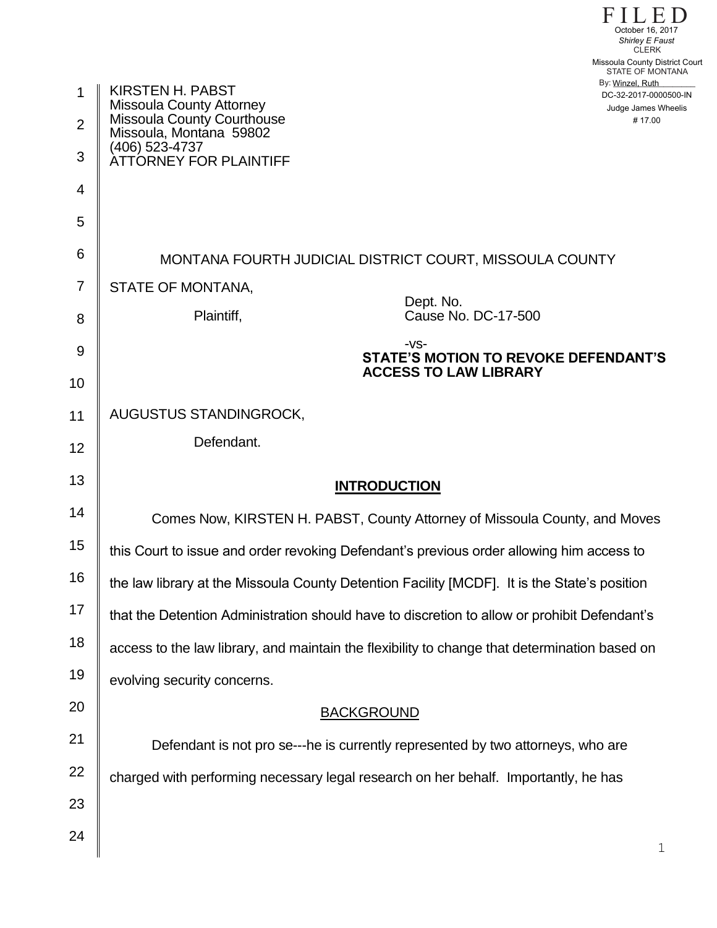|                | October 16, 2017<br>Shirley E Faust<br><b>CLERK</b>                                                                            |
|----------------|--------------------------------------------------------------------------------------------------------------------------------|
|                | Missoula County District Court<br>STATE OF MONTANA                                                                             |
| 1              | By: Winzel, Ruth<br><b>KIRSTEN H. PABST</b><br>DC-32-2017-0000500-IN<br><b>Missoula County Attorney</b><br>Judge James Wheelis |
| $\overline{2}$ | <b>Missoula County Courthouse</b><br>#17.00<br>Missoula, Montana 59802                                                         |
| 3              | (406) 523-4737<br>ÀTTÓRNEY FOR PLAINTIFF                                                                                       |
| 4              |                                                                                                                                |
| 5              |                                                                                                                                |
| 6              | MONTANA FOURTH JUDICIAL DISTRICT COURT, MISSOULA COUNTY                                                                        |
| $\overline{7}$ | STATE OF MONTANA,                                                                                                              |
| 8              | Dept. No.<br>Cause No. DC-17-500<br>Plaintiff,                                                                                 |
| 9              | $-VS-$<br><b>STATE'S MOTION TO REVOKE DEFENDANT'S</b>                                                                          |
| 10             | <b>ACCESS TO LAW LIBRARY</b>                                                                                                   |
| 11             | AUGUSTUS STANDINGROCK,                                                                                                         |
| 12             | Defendant.                                                                                                                     |
| 13             | <b>INTRODUCTION</b>                                                                                                            |
| 14             | Comes Now, KIRSTEN H. PABST, County Attorney of Missoula County, and Moves                                                     |
| 15             | this Court to issue and order revoking Defendant's previous order allowing him access to                                       |
| 16             | the law library at the Missoula County Detention Facility [MCDF]. It is the State's position                                   |
| 17             | that the Detention Administration should have to discretion to allow or prohibit Defendant's                                   |
| 18             | access to the law library, and maintain the flexibility to change that determination based on                                  |
| 19             | evolving security concerns.                                                                                                    |
| 20             | <b>BACKGROUND</b>                                                                                                              |
| 21             | Defendant is not pro se---he is currently represented by two attorneys, who are                                                |
| 22             | charged with performing necessary legal research on her behalf. Importantly, he has                                            |
| 23             |                                                                                                                                |
| 24             | $\mathbf 1$                                                                                                                    |

FILED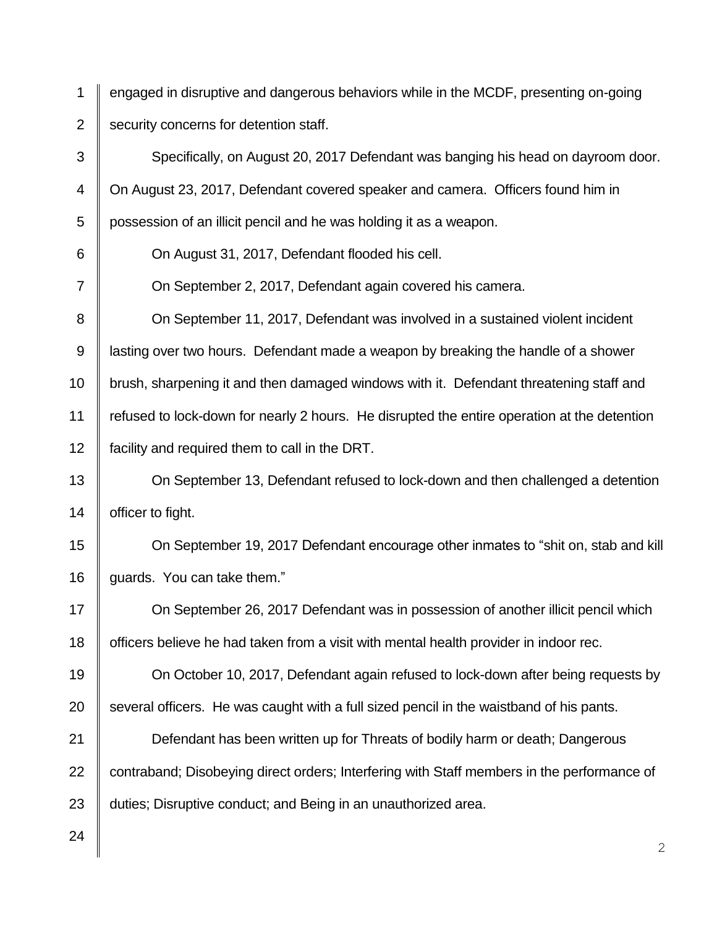1 2 engaged in disruptive and dangerous behaviors while in the MCDF, presenting on-going security concerns for detention staff.

3 4 5 6 7 8 9 10 11 12 13 14 15 16 17 Specifically, on August 20, 2017 Defendant was banging his head on dayroom door. On August 23, 2017, Defendant covered speaker and camera. Officers found him in possession of an illicit pencil and he was holding it as a weapon. On August 31, 2017, Defendant flooded his cell. On September 2, 2017, Defendant again covered his camera. On September 11, 2017, Defendant was involved in a sustained violent incident lasting over two hours. Defendant made a weapon by breaking the handle of a shower brush, sharpening it and then damaged windows with it. Defendant threatening staff and refused to lock-down for nearly 2 hours. He disrupted the entire operation at the detention facility and required them to call in the DRT. On September 13, Defendant refused to lock-down and then challenged a detention officer to fight. On September 19, 2017 Defendant encourage other inmates to "shit on, stab and kill guards. You can take them." On September 26, 2017 Defendant was in possession of another illicit pencil which

18 officers believe he had taken from a visit with mental health provider in indoor rec.

19 20 On October 10, 2017, Defendant again refused to lock-down after being requests by several officers. He was caught with a full sized pencil in the waistband of his pants.

21 22 23 Defendant has been written up for Threats of bodily harm or death; Dangerous contraband; Disobeying direct orders; Interfering with Staff members in the performance of duties; Disruptive conduct; and Being in an unauthorized area.

24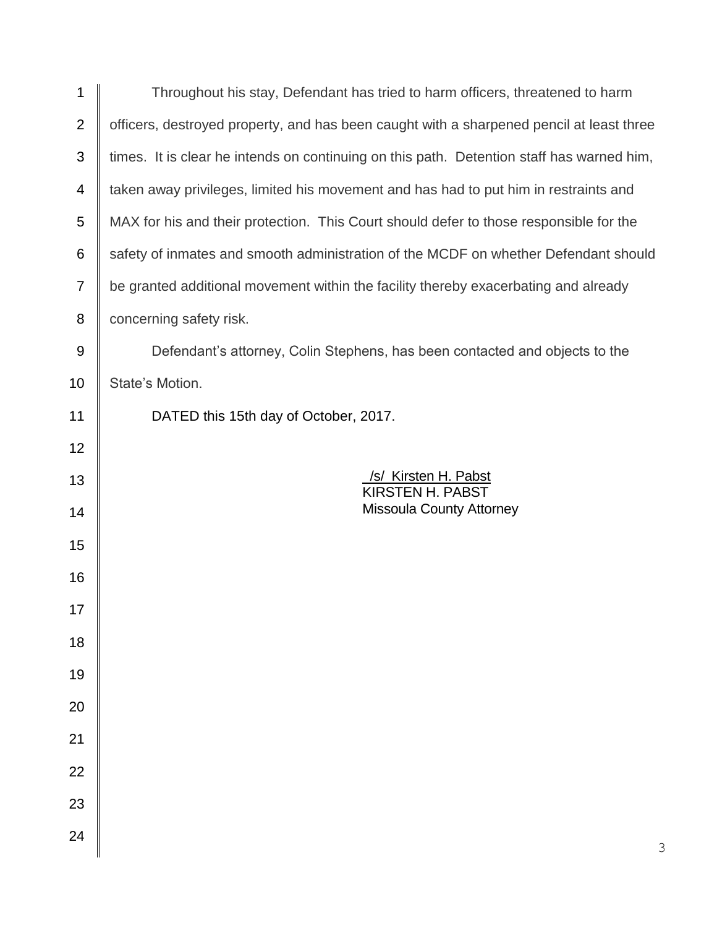| 1                | Throughout his stay, Defendant has tried to harm officers, threatened to harm             |
|------------------|-------------------------------------------------------------------------------------------|
| $\mathbf{2}$     | officers, destroyed property, and has been caught with a sharpened pencil at least three  |
| 3                | times. It is clear he intends on continuing on this path. Detention staff has warned him, |
| 4                | taken away privileges, limited his movement and has had to put him in restraints and      |
| 5                | MAX for his and their protection. This Court should defer to those responsible for the    |
| 6                | safety of inmates and smooth administration of the MCDF on whether Defendant should       |
| $\overline{7}$   | be granted additional movement within the facility thereby exacerbating and already       |
| 8                | concerning safety risk.                                                                   |
| $\boldsymbol{9}$ | Defendant's attorney, Colin Stephens, has been contacted and objects to the               |
| 10               | State's Motion.                                                                           |
| 11               | DATED this 15th day of October, 2017.                                                     |
| 12               |                                                                                           |
| 13               | /s/ Kirsten H. Pabst<br><b>KIRSTEN H. PABST</b>                                           |
| 14               | <b>Missoula County Attorney</b>                                                           |
| 15               |                                                                                           |
| 16               |                                                                                           |
| 17               |                                                                                           |
| 18               |                                                                                           |
| 19               |                                                                                           |
| 20               |                                                                                           |
| 21               |                                                                                           |
| 22               |                                                                                           |
| 23               |                                                                                           |
| 24               |                                                                                           |